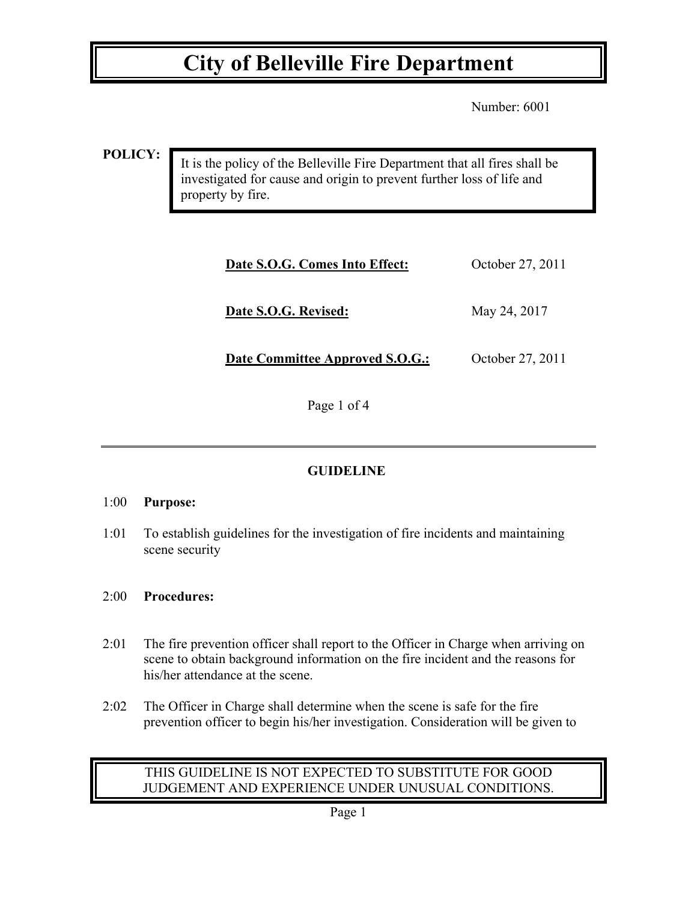## **City of Belleville Fire Department**

Number: 6001

**POLICY:**

It is the policy of the Belleville Fire Department that all fires shall be investigated for cause and origin to prevent further loss of life and property by fire.

| Date S.O.G. Comes Into Effect:  | October 27, 2011 |
|---------------------------------|------------------|
| Date S.O.G. Revised:            | May 24, 2017     |
| Date Committee Approved S.O.G.: | October 27, 2011 |

Page 1 of 4

### **GUIDELINE**

#### 1:00 **Purpose:**

1:01 To establish guidelines for the investigation of fire incidents and maintaining scene security

#### 2:00 **Procedures:**

- 2:01 The fire prevention officer shall report to the Officer in Charge when arriving on scene to obtain background information on the fire incident and the reasons for his/her attendance at the scene.
- 2:02 The Officer in Charge shall determine when the scene is safe for the fire prevention officer to begin his/her investigation. Consideration will be given to

### THIS GUIDELINE IS NOT EXPECTED TO SUBSTITUTE FOR GOOD JUDGEMENT AND EXPERIENCE UNDER UNUSUAL CONDITIONS.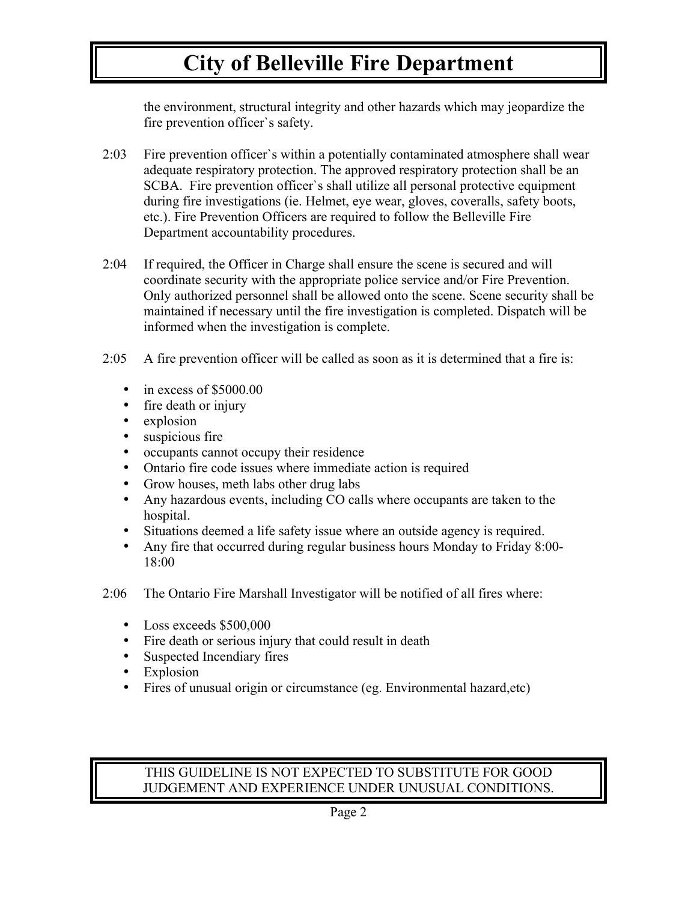## **City of Belleville Fire Department**

the environment, structural integrity and other hazards which may jeopardize the fire prevention officer`s safety.

- 2:03 Fire prevention officer`s within a potentially contaminated atmosphere shall wear adequate respiratory protection. The approved respiratory protection shall be an SCBA. Fire prevention officer`s shall utilize all personal protective equipment during fire investigations (ie. Helmet, eye wear, gloves, coveralls, safety boots, etc.). Fire Prevention Officers are required to follow the Belleville Fire Department accountability procedures.
- 2:04 If required, the Officer in Charge shall ensure the scene is secured and will coordinate security with the appropriate police service and/or Fire Prevention. Only authorized personnel shall be allowed onto the scene. Scene security shall be maintained if necessary until the fire investigation is completed. Dispatch will be informed when the investigation is complete.
- 2:05 A fire prevention officer will be called as soon as it is determined that a fire is:
	- in excess of  $$5000.00$ <br>• fire death or injury
	- fire death or injury
	- explosion
	- suspicious fire
	- occupants cannot occupy their residence
	- Ontario fire code issues where immediate action is required
	- Grow houses, meth labs other drug labs
	- Any hazardous events, including CO calls where occupants are taken to the hospital.
	- Situations deemed a life safety issue where an outside agency is required.
	- Any fire that occurred during regular business hours Monday to Friday 8:00- 18:00
- 2:06 The Ontario Fire Marshall Investigator will be notified of all fires where:
	- Loss exceeds \$500,000
	- Fire death or serious injury that could result in death
	- Suspected Incendiary fires
	- Explosion
	- Fires of unusual origin or circumstance (eg. Environmental hazard,etc)

#### THIS GUIDELINE IS NOT EXPECTED TO SUBSTITUTE FOR GOOD JUDGEMENT AND EXPERIENCE UNDER UNUSUAL CONDITIONS.